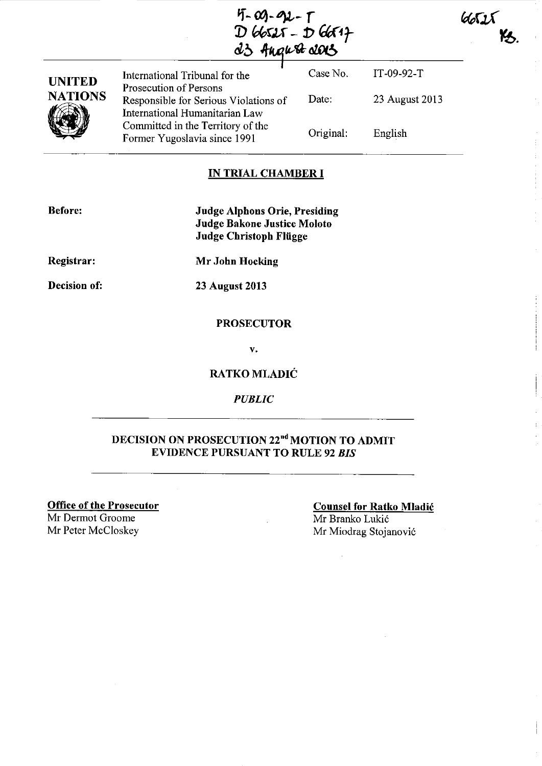| $4 - 00 - 92 - 1$ |  |
|-------------------|--|
| $D66525 - D66547$ |  |
| d3 Angert das     |  |

| <b>UNITED</b>  | International Tribunal for the<br>Prosecution of Persons                | Case No.  | IT-09-92-T     |
|----------------|-------------------------------------------------------------------------|-----------|----------------|
| <b>NATIONS</b> | Responsible for Serious Violations of<br>International Humanitarian Law | Date:     | 23 August 2013 |
|                | Committed in the Territory of the<br>Former Yugoslavia since 1991       | Original: | English        |

# **IN TRIAL CHAMBER I**

| Before |  |
|--------|--|
|        |  |

**Judge Alphons Orie, Presiding Judge Bakone Justice Moloto Judge Christoph Fliigge** 

**Registrar:** 

**Decision of:** 

**23 August 2013** 

**Mr John Hocking** 

#### **PROSECUTOR**

**V.** 

# **RATKO** MLADIĆ

*PUBLIC* 

# **DECISION ON PROSECUTION 22nd MOTION TO ADMIT EVIDENCE PURSUANT TO RULE 92** *BIS*

**Office of the Prosecutor** 

Mr Dermot Groome Mr Peter McCloskey Mr Miodrag Stojanović

**Counsel for Ratko** Mladić Mr Branko Lukić

**NATIONS 192** 

6652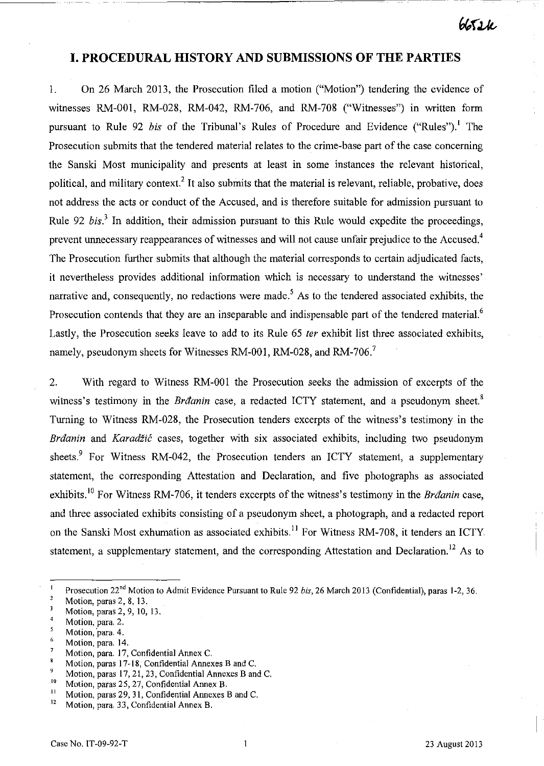665*21e* 

# **I. PROCEDURAL HISTORY AND SUBMISSIONS OF THE PARTIES**

--------------------------~~-~---~

1. On 26 March 2013, the Prosecution filed a motion ("Motion") tendering the evidence of witnesses RM-OOl, RM-028, RM-042, RM-706, and RM-708 ("Witnesses") in written form pursuant to Rule 92 *bis* of the Tribunal's Rules of Procedure and Evidence ("Rules").' The Prosecution submits that the tendered material relates to the crime-base part of the case concerning the Sanski Most municipality and presents at least in some instances the relevant historical, political, and military context.<sup>2</sup> It also submits that the material is relevant, reliable, probative, does not address the acts or conduct of the Accused, and is therefore suitable for admission pursuant to Rule 92 *bis.)* In addition, their admission pursuant to this Rule would expedite the proceedings, prevent unnecessary reappearances of witnesses and will not cause unfair prejudice to the Accused.<sup>4</sup> The Prosecution further submits that although the material corresponds to certain adjudicated facts, it nevertheless provides additional information which is necessary to understand the witnesses' narrative and, consequently, no redactions were made.<sup>5</sup> As to the tendered associated exhibits, the Prosecution contends that they are an inseparable and indispensable part of the tendered material.<sup>6</sup> Lastly, the Prosecution seeks leave to add to its Rule 65 *ter* exhibit list three associated exhibits, namely, pseudonym sheets for Witnesses RM-001, RM-028, and RM-706.<sup>7</sup>

2. With regard to Witness RM-OOl the Prosecution seeks the admission of excerpts of the witness's testimony in the *Brđanin* case, a redacted ICTY statement, and a pseudonym sheet.<sup>8</sup> Turning to Witness RM-028, the Prosecution tenders excerpts of the witness's testimony in the Brđanin and Karadžić cases, together with six associated exhibits, including two pseudonym sheets.<sup>9</sup> For Witness RM-042, the Prosecution tenders an ICTY statement, a supplementary statement, the corresponding Attestation and Declaration, and five photographs as associated exhibits.<sup>10</sup> For Witness RM-706, it tenders excerpts of the witness's testimony in the Brđanin case, and three associated exhibits consisting of a pseudonym sheet, a photograph, and a redacted report on the Sanski Most exhumation as associated exhibits.<sup>11</sup> For Witness RM-708, it tenders an ICTY statement, a supplementary statement, and the corresponding Attestation and Declaration.<sup>12</sup> As to

- $\frac{6}{7}$  Motion, para. 14.
- Motion, para. 17, Confidential Annex C.

<sup>10</sup> Motion, paras 25, 27, Confidential Annex B.<br><sup>11</sup> Motion, paras 20, 21, Confidential Annaxea.

 $\overline{1}$ Prosecution 22<sup>nd</sup> Motion to Admit Evidence Pursuant to Rule 92 *bis*, 26 March 2013 (Confidential), paras 1-2, 36.

 $\overline{2}$ Motion, paras 2, 8, 13.

 $\overline{\mathbf{3}}$ Motion, paras 2, 9, 10, 13.

 $\overline{4}$ Motion, para. 2.

 $\overline{\mathbf{5}}$ Motion, para. 4.

Motion, paras 17-18, Confidential Annexes B and C.

<sup>&</sup>lt;sup>9</sup> Motion, paras 17, 21, 23, Confidential Annexes B and C.<br><sup>10</sup> Motion, paras 25, 27, Confidential Annex B

<sup>&</sup>lt;sup>11</sup> Motion, paras 29, 31, Confidential Annexes B and C.<br><sup>12</sup> Motion, para, 33, Confidential Anney B

Motion, para. 33, Confidential Annex B.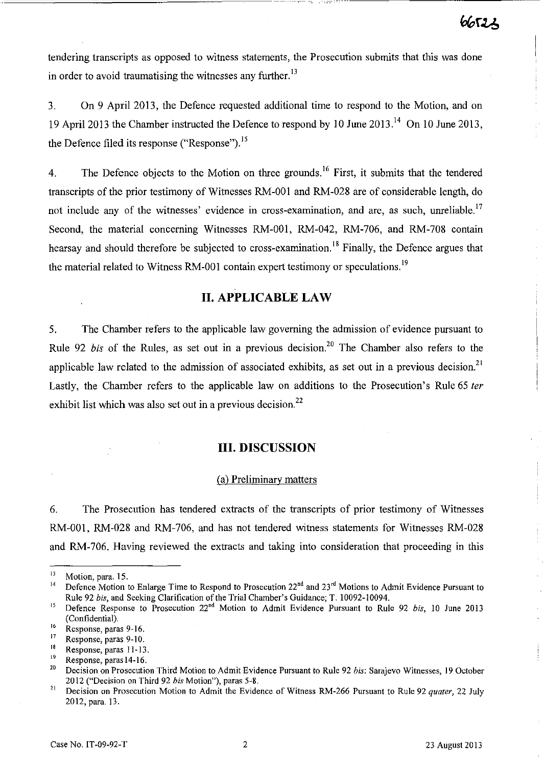tendering transcripts as opposed to witness statements, the Prosecution submits that this was done in order to avoid traumatising the witnesses any further.<sup>13</sup>

3. On 9 April 2013, the Defence requested additional time to respond to the Motion, and on 19 April 2013 the Chamber instructed the Defence to respond by lO June 2013. 14 On lO June 2013, the Defence filed its response ("Response").<sup>15</sup>

4. The Defence objects to the Motion on three grounds.<sup>16</sup> First, it submits that the tendered transcripts of the prior testimony of Witnesses RM-OOI and RM-028 are of considerable length, do not include any of the witnesses' evidence in cross-examination, and are, as such, unreliable.<sup>17</sup> Second, the material concerning Witnesses RM-001, RM-042, RM-706, and RM-708 contain hearsay and should therefore be subjected to cross-examination.<sup>18</sup> Finally, the Defence argues that the material related to Witness RM-001 contain expert testimony or speculations.<sup>19</sup>

# **II. APPLICABLE LAW**

5. The Chamber refers to the applicable law governing the admission of evidence pursuant to Rule 92 *bis* of the Rules, as set out in a previous decision.<sup>20</sup> The Chamber also refers to the applicable law related to the admission of associated exhibits, as set out in a previous decision.<sup>21</sup> Lastly, the Chamber refers to the applicable law on additions to the Prosecution's Rule 65 *ter*  exhibit list which was also set out in a previous decision. $^{22}$ 

# **III. DISCUSSION**

#### (a) Preliminary matters

6. The Prosecution has tendered extracts of the transcripts of prior testimony of Witnesses RM-OO!, RM-028 and RM-706, and has not tendered witness statements for Witnesses RM-028 and RM-706. Having reviewed the extracts and taking into consideration that proceeding in this

<sup>I</sup>**<sup>B</sup>Response, paras 11-13.** 

 $\frac{13}{14}$  Motion, para. 15.

<sup>&</sup>lt;sup>14</sup> Defence Motion to Enlarge Time to Respond to Prosecution 22<sup>nd</sup> and 23<sup>rd</sup> Motions to Admit Evidence Pursuant to Rule 92 *bis,* and Seeking Clarification of the Trial Chamber's Guidance; T. 10092-10094.

<sup>&</sup>lt;sup>15</sup> Defence Response to Prosecution 22<sup>nd</sup> Motion to Admit Evidence Pursuant to Rule 92 *bis*, 10 June 2013 (Confidential).

 $\frac{16}{17}$  Response, paras 9-16.

**<sup>17</sup>Response, paras 9-10.** 

 $\frac{19}{20}$  Response, paras 14-16.

<sup>20</sup> Decision on Prosecution Third Motion to Admit Evidence Pursuant to Rule 92 *bis:* Sarajevo Witnesses, 19 October 2012 ("Decision on Third 92 *bis* Motion"), paras 5-8.

<sup>&</sup>lt;sup>21</sup> Decision on Prosecution Motion to Admit the Evidence of Witness RM-266 Pursuant to Rule 92 *quater*, 22 July 2012, para. 13.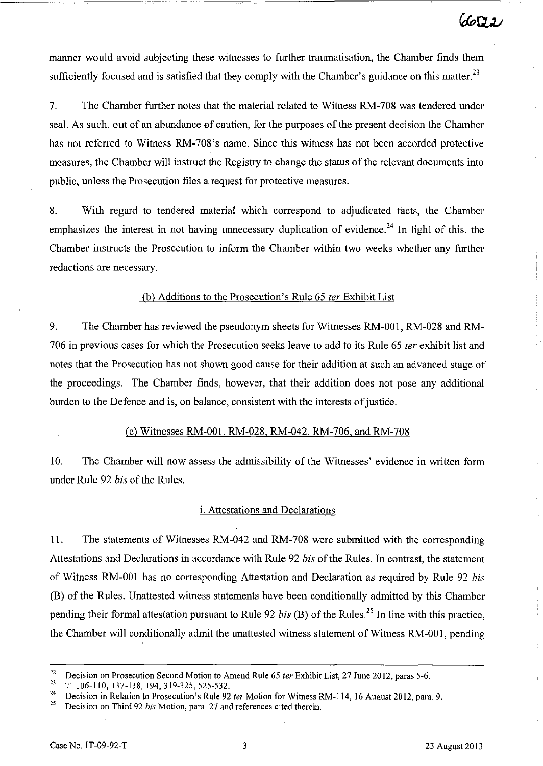manner would avoid subjecting these witnesses to further traumatisation, the Chamber finds them sufficiently focused and is satisfied that they comply with the Chamber's guidance on this matter. $^{23}$ 

7. The Chamber further notes that the material related to Witness RM-708 was tendered under seal. As such, out of an abundance of caution, for the purposes of the present decision the Chamber has not referred to Witness RM-708's name. Since this witness has not been accorded protective measures, the Chamber will instruct the Registry to change the status of the relevant documents into public, unless the Prosecution files a request for protective measures.

8. With regard to tendered material which correspond to adjudicated facts, the Chamber emphasizes the interest in not having unnecessary duplication of evidence.<sup>24</sup> In light of this, the Chamber instructs the Prosecution to inform the Chamber within two weeks whether any further redactions are necessary.

## (b) Additions to the Prosecution' s Rule 65 *ter* Exhibit List

9. The Chamber has reviewed the pseudonym sheets for Witnesses RM-ODI, RM-028 and RM-706 in previous cases for which the Prosecution seeks leave to add to its Rule 65 *ter* exhibit list and notes that the Prosecution has not shown good cause for their addition at such an advanced stage of the proceedings. The Chamber finds, however, that their addition does not pose any additional burden to the Defence and is, on balance, consistent with the interests of justice.

#### Cc) Witnesses RM-ODI, RM-028, RM-042, RM-706, and RM-708

10. The Chamber will now assess the admissibility of the Witnesses' evidence in written form under Rule 92 *bis* of the Rules.

#### i. Attestations and Declarations

ll. The statements of Witnesses RM-042 and RM-708 were submitted with the corresponding Attestations and Declarations in accordance with Rule 92 *bis* of the Rules. In contrast, the statement of Witness RM-ODI has no corresponding Attestation and Declaration as required by Rule 92 *bis*  (B) of the Rules. Unattested witness statements have been conditionally admitted by this Chamber pending their formal attestation pursuant to Rule 92 *bis* (B) of the Rules?5 In line with this practice, the Chamber will conditionally admit the unattested witness statement of Witness RM-ODI, pending

<sup>&</sup>lt;sup>22</sup> Decision on Prosecution Second Motion to Amend Rule 65 *ter* Exhibit List, 27 June 2012, paras 5-6.<br><sup>23</sup>  $\pm 106, 110, 127, 138, 104, 210, 225, 525, 522$ 

<sup>&</sup>lt;sup>23</sup> T. 106-110, 137-138, 194, 319-325, 525-532.<br><sup>24</sup> Decision in Belatien to Processurian's Bulo 02

<sup>&</sup>lt;sup>24</sup> Decision in Relation to Prosecution's Rule 92 *ter* Motion for Witness RM-114, 16 August 2012, para. 9.<br><sup>25</sup> Decision on Third 92 *bis* Motion, para. 27 and references cited therein

<sup>25</sup> Decision on Third 92 *bis* Motion, para. 27 and references cited therein.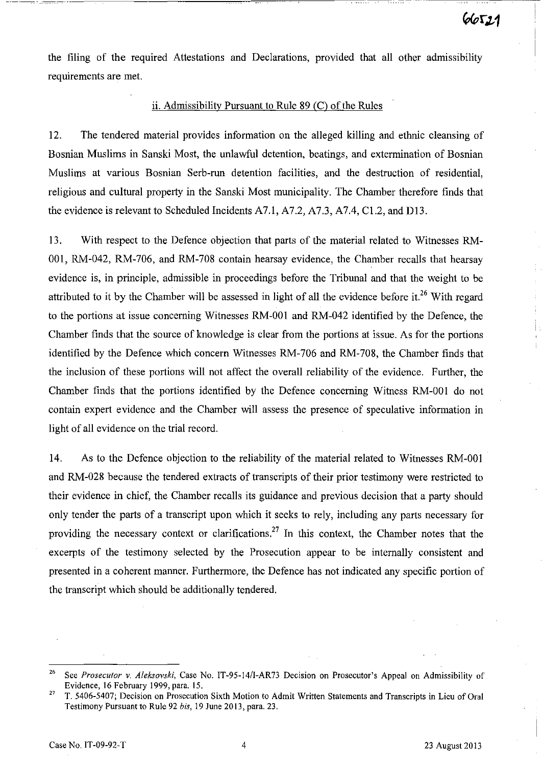the filing of the required Attestations and Declarations, provided that all other admissibility requirements are met.

-~---~ -~- --~----------~~~~--~---~~ ----- -~

#### ii. Admissibility Pursuant to Rule  $89$  (C) of the Rules

12. The tendered material provides information on the alleged killing and ethnic cleansing of Bosnian Muslims in Sanski Most, the unlawful detention, beatings, and extermination of Bosnian Muslims at various Bosnian Serb-run detention facilities, and the destruction of residentiaI, religious and cultural property in the Sanski Most municipality. The Chamber therefore finds that the evidence is relevant to Scheduled Incidents A7.1, A7.2, A7.3, A7.4, C1.2, and D13.

13. With respect to the Defence objection that parts of the material related to Witnesses RM-001, RM-042, RM-706, and RM-708 contain hearsay evidence, the Chamber recalls that hearsay evidence is, in principle, admissible in proceedings before the Tribunal and that the weight to be attributed to it by the Chamber will be assessed in light of all the evidence before it.<sup>26</sup> With regard to the portions at issue concerning Witnesses RM-OOI and RM-042 identified by the Defence, the Chamber finds that the source of knowledge is clear from the portions at issue. As for the portions identified by the Defence which concern Witnesses RM-706 and RM-708, the Chamber finds that the inclusion of these portions will not affect the overall reliability of the evidence. Further, the Chamber finds that the portions identified by the Defence concerning Witness RM-OOI do not contain expert evidence and the Chamber will assess the presence of speculative information in light of all evidence on the trial record.

14. As to the Defence objection to the reliability of the material related to Witnesses RM-OOI and RM-028 because the tendered extracts of transcripts of their prior testimony were restricted to their evidence in chief, the Chamber recalls its guidance and previous decision that a party should only tender the parts of a transcript upon which it seeks to rely, including any parts necessary for providing the necessary context or clarifications.<sup>27</sup> In this context, the Chamber notes that the excerpts of the testimony selected by the Prosecution appear to be internally consistent and presented in a coherent manner. Furthermore, the Defence has not indicated any specific portion of the transcript which should be additionally tendered.

<sup>&</sup>lt;sup>26</sup> See Prosecutor v. Aleksovski, Case No. IT-95-14/I-AR73 Decision on Prosecutor's Appeal on Admissibility of Evidence, 16 February 1999, para. 15.

<sup>&</sup>lt;sup>27</sup> T. 5406-5407; Decision on Prosecution Sixth Motion to Admit Written Statements and Transcripts in Lieu of Oral Testimony Pursuant to Rule 92 *bis,* 19 June 2013, para. 23.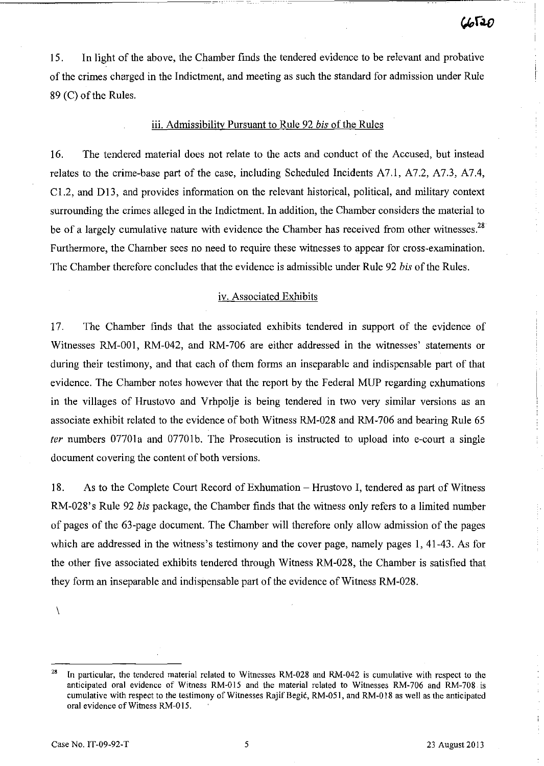15. In light of the above, the Chamber finds the tendered evidence to be relevant and probative of the crimes charged in the Indictment, and meeting as such the standard for admission under Rule 89 (c) of the Rules.

## iii. Admissibility Pursuant to Rule 92 *bis* of the Rules

16. The tendered material does not relate to the acts and conduct of the Accused, but instead relates to the crime-base part of the case, including Scheduled Incidents A7.1, A7.2, A7.3, A7.4,  $C1.2$ , and D13, and provides information on the relevant historical, political, and military context surrounding the crimes alleged in the Indictment. In addition, the Chamber considers the material to be of a largely cumulative nature with evidence the Chamber has received from other witnesses.<sup>28</sup> Furthermore, the Chamber sees no need to require these witnesses to appear for cross-examination. The Chamber therefore concludes that the evidence is admissible under Rule 92 *bis* of the Rules.

#### iv. Associated Exhibits

17. The Chamber finds that the associated exhibits tendered in support of the evidence of Witnesses RM-DOI, RM-042, and RM-706 are either addressed in the witnesses' statements or during their testimony, and that each of them forms an inseparable and indispensable part of that evidence. The Chamber notes however that the report by the Federal MUP regarding exhumations in the villages of Hrustovo and Vrhpolje is being tendered in two very similar versions as an associate exhibit related to the evidence of both Witness RM-028 and RM-706 and bearing Rule 65 *ter* numbers 07701a and 07701b. The Prosecution is instructed to upload into e-court a single document covering the content of both versions.

18. As to the Complete Court Record of Exhumation - Hrustovo I, tendered as part of Witness RM-028's Rule 92 *bis* package, the Chamber finds that the witness only refers to a limited number of pages of the 63-page document. The Chamber will therefore only allow admission of the pages which are addressed in the witness's testimony and the cover page, namely pages 1, 41-43. As for the other five associated exhibits tendered through Witness RM-028, the Chamber is satisfied that they form an inseparable and indispensable part of the evidence of Witness RM-028.

 $\lambda$ 

<sup>&</sup>lt;sup>28</sup> In particular, the tendered material related to Witnesses RM-028 and RM-042 is cumulative with respect to the anticipated oral evidence of Witness RM-015 and the material related to Witnesses RM-706 and RM-708 is cumulative with respect to the testimony of Witnesses Rajif Begić, RM-051, and RM-018 as well as the anticipated oral evidence of Witness RM-015.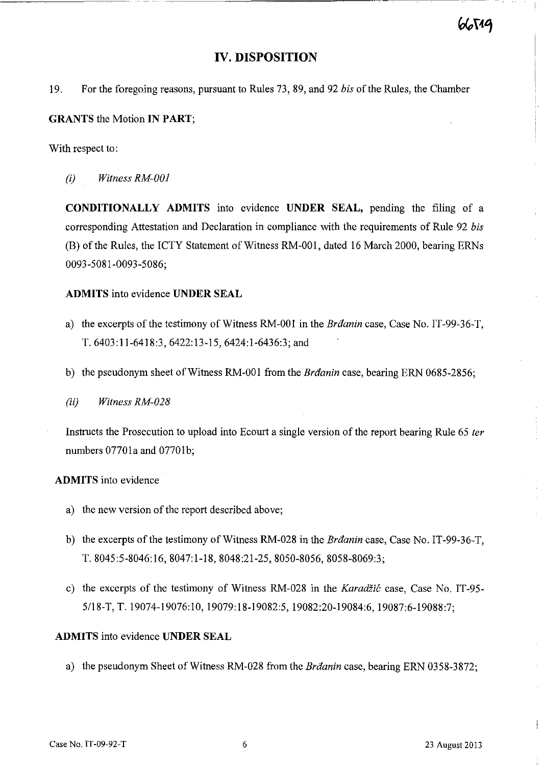# **IV. DISPOSITION**

19. For the foregoing reasons, pursuant to Rules 73, 89, and 92 *bis* of the Rules, the Chamber

## **GRANTS** the Motion **IN PART;**

With respect to:

(i) *Witness RM-OOI* 

**CONDITIONALLY ADMITS** into evidence **UNDER SEAL,** pending the filing of a corresponding Attestation and Declaration in compliance with the requirements of Rule 92 *bis*  (B) of the Rules, the ICTY Statement of Witness RM-001, dated 16 March 2000, bearing ERNs 0093-5081-0093-5086;

# **ADMITS** into evidence **UNDER SEAL**

- a) the excerpts of the testimony of Witness RM-001 in the Branin case, Case No. IT-99-36-T, T. 6403:11-6418:3, 6422:13-15,6424:1-6436:3; and
- b) the pseudonym sheet of Witness RM-001 from the *Brđanin* case, bearing ERN 0685-2856;
- (ii) *Witness RM-028*

Instructs the Prosecution to upload into Ecourt a single version of the report bearing Rule 65 *ter*  numbers 07701a and 0770Ib;

#### **ADMITS** into evidence

- a) the new version of the report described above;
- b) the excerpts of the testimony of Witness RM-028 in the Brđanin case, Case No. IT-99-36-T, T. 8045:5-8046:16, 8047:1-18, 8048:21-25, 8050-8056, 8058-8069:3;
- c) the excerpts of the testimony of Witness RM-028 in the Karadžić case, Case No. IT-95- 5118-T, T. 19074-19076:10, 19079:18-19082:5, 19082:20-19084:6, 19087:6-19088:7;

# **ADMITS** into evidence **UNDER SEAL**

a) the pseudonym Sheet of Witness RM-028 from the Brđanin case, bearing ERN 0358-3872;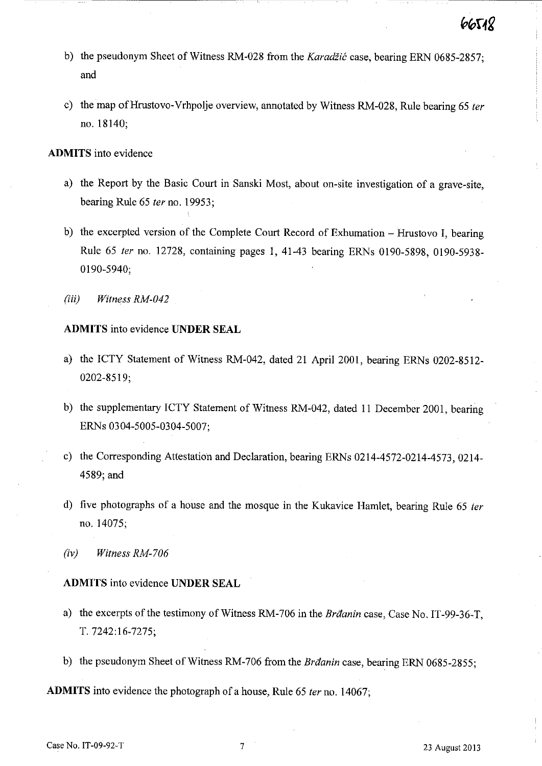- b) the pseudonym Sheet of Witness RM-028 from the Karadžić case, bearing ERN 0685-2857; and
- c) the map ofHrustovo-Vrhpolje overview, annotated by Witness RM-028, Rule bearing 65 *ter*  no. 18140;

#### **ADMITS** into evidence

- a) the Report by the Basic Court in Sanski Most, about on-site investigation of a grave-site, bearing Rule 65 *ter* no. 19953;
- b) the excerpted version of the Complete Court Record of Exhumation Hrustovo I, bearing Rule 65 *ter* no. 12728, containing pages 1,41-43 bearing ERNs 0190-5898, 0190-5938- 0190-5940;
- (iii) *Witness RM-042*

# **ADMITS** into evidence **UNDER SEAL**

- a) the ICTY Statement of Witness RM-042, dated 21 April 2001, bearing ERNs 0202-8512- 0202-8519;
- b) the supplementary ICTY Statement of Witness RM-042, dated 11 December 2001, bearing ERNs 0304-5005-0304-5007;
- c) the Corresponding Attestatioh and Declaration, bearing ERNs 0214-4572-0214-4573, 0214- 4589; and
- d) five photographs of a house and the mosque in the Kukavice Hamlet, bearing Rule 65 ter no. 14075;
- *(iv) Witness RM-706*

# **ADMITS** into evidence **UNDER SEAL**

- a) the excerpts of the testimony of Witness RM-706 in the Brđanin case, Case No. IT-99-36-T, T. 7242:16-7275;
- b) the pseudonym Sheet of Witness RM-706 from the Brđanin case, bearing ERN 0685-2855;

**ADMITS** into evidence the photograph of a house, Rule 65 *ter* no. 14067;